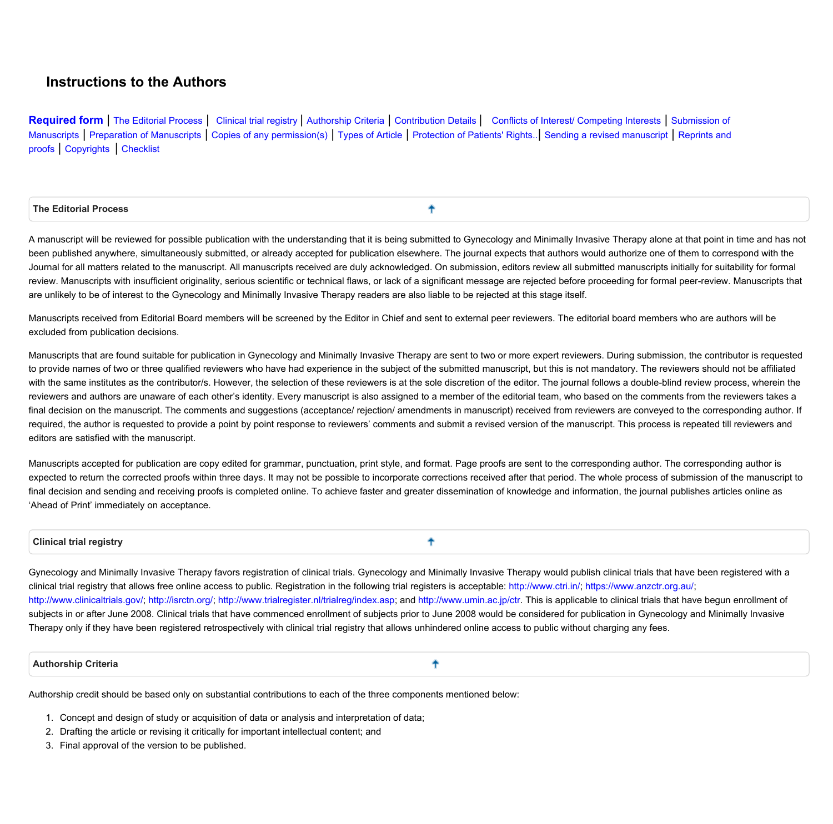# **Instructions to the Authors**

[Required](#page-9-0) [form](#page-9-0) | [The](#page-0-0) [Editorial](#page-0-0) [Process](#page-0-0) | [Clinical](#page-0-1) [trial](#page-0-1) [registry](#page-0-1) | [Authorship](#page-0-2) [Criteria](#page-0-2) | [Contribution](#page-1-0) [Details](#page-1-0) | [Conflicts](#page-1-1) [of](#page-1-2) [Interest/](#page-1-1) [Competing](#page-1-1) [Interests](#page-1-1) | [Submission](#page-1-2) of [Manuscripts](#page-2-0) | [Preparation](#page-2-0) [of](#page-7-0) Manuscripts | [Copies](#page-2-1) of [any](#page-2-1) [permission\(s\)](#page-2-1) | [Types](#page-2-2) of [Article](#page-2-2) | [Protection](#page-7-0) of [Patients'](#page-7-0) [Rights..](#page-7-0) [Sending](#page-7-1) [a](#page-7-1) [revised](#page-7-1) [manuscript](#page-7-1) | [Reprints](#page-8-0) [and](#page-8-0) **[proofs](#page-8-0) | [Copyrights](#page-8-1) | [Checklist](#page-8-2)** 

# <span id="page-0-0"></span> **The Editorial Process**

A manuscript will be reviewed for possible publication with the understanding that it is being submitted to Gynecology and Minimally Invasive Therapy alone at that point in time and has not been published anywhere, simultaneously submitted, or already accepted for publication elsewhere. The journal expects that authors would authorize one of them to correspond with the Journal for all matters related to the manuscript. All manuscripts received are duly acknowledged. On submission, editors review all submitted manuscripts initially for suitability for formal review. Manuscripts with insufficient originality, serious scientific or technical flaws, or lack of a significant message are rejected before proceeding for formal peer-review. Manuscripts that are unlikely to be of interest to the Gynecology and Minimally Invasive Therapy readers are also liable to be rejected at this stage itself.

牛

Manuscripts received from Editorial Board members will be screened by the Editor in Chief and sent to external peer reviewers. The editorial board members who are authors will be **excluded from publication decisions.** 

Manuscripts that are found suitable for publication in Gynecology and Minimally Invasive Therapy are sent to two or more expert reviewers. During submission, the contributor is requested to provide names of two or three qualified reviewers who have had experience in the subject of the submitted manuscript, but this is not mandatory. The reviewers should not be affiliated with the same institutes as the contributor/s. However, the selection of these reviewers is at the sole discretion of the editor. The journal follows a double-blind review process, wherein the reviewers and authors are unaware of each other's identity. Every manuscript is also assigned to a member of the editorial team, who based on the comments from the reviewers takes a final decision on the manuscript. The comments and suggestions (acceptance/ rejection/ amendments in manuscript) received from reviewers are conveyed to the corresponding author. If required, the author is requested to provide a point by point response to reviewers' comments and submit a revised version of the manuscript. This process is repeated till reviewers and **editors are satisfied with the manuscript.**

Manuscripts accepted for publication are copy edited for grammar, punctuation, print style, and format. Page proofs are sent to the corresponding author. The corresponding author is expected to return the corrected proofs within three days. It may not be possible to incorporate corrections received after that period. The whole process of submission of the manuscript to final decision and sending and receiving proofs is completed online. To achieve faster and greater dissemination of knowledge and information, the journal publishes articles online as **'Ahead of Print' immediately on acceptance.**

牛

ቶ

#### <span id="page-0-1"></span> **Clinical trial registry**

Gynecology and Minimally Invasive Therapy favors registration of clinical trials. Gynecology and Minimally Invasive Therapy would publish clinical trials that have been registered with a clinical trial registry that allows free online access to public. Registration in the following trial registers is acceptable: <http://www.ctri.in/>; <https://www.anzctr.org.au/>; [http://www.clinicaltrials.gov/;](https://www.clinicaltrials.gov/) [http://isrctn.org/;](http://isrctn.org/) <http://www.trialregister.nl/trialreg/index.asp>; and [http://www.umin.ac.jp/ctr.](http://www.umin.ac.jp/ctr) This is applicable to clinical trials that have begun enrollment of subjects in or after June 2008. Clinical trials that have commenced enrollment of subjects prior to June 2008 would be considered for publication in Gynecology and Minimally Invasive Therapy only if they have been registered retrospectively with clinical trial registry that allows unhindered online access to public without charging any fees.

# <span id="page-0-2"></span> **Authorship Criteria**

Authorship credit should be based only on substantial contributions to each of the three components mentioned below:

- **1. Concept and design of study or acquisition of data or analysis and interpretation of data;**
- **2. Drafting the article or revising it critically for important intellectual content; and**
- **3. Final approval of the version to be published.**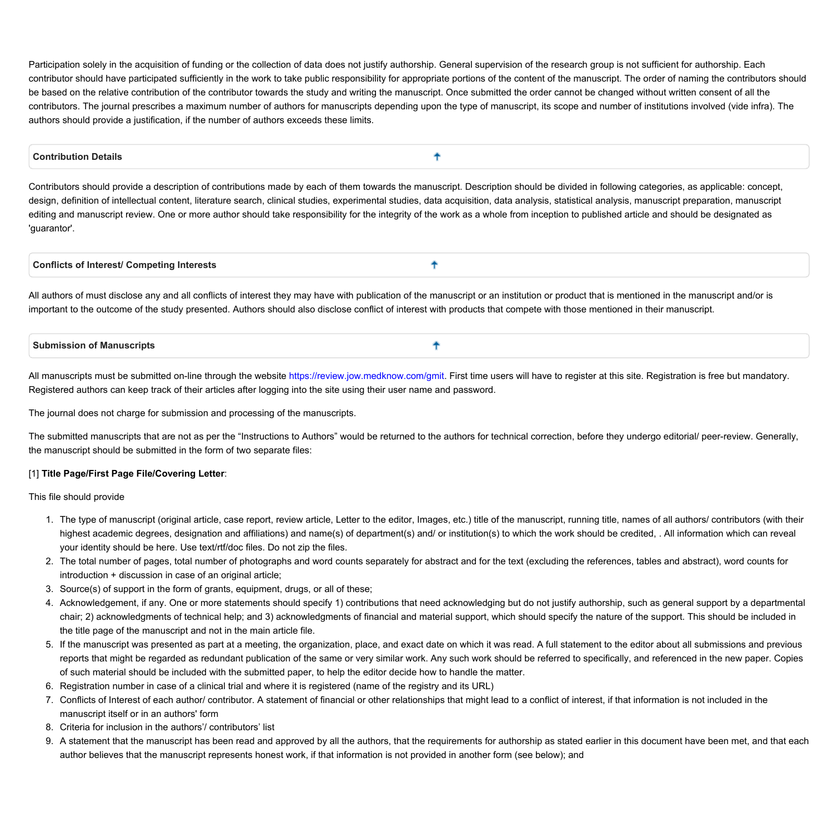Participation solely in the acquisition of funding or the collection of data does not justify authorship. General supervision of the research group is not sufficient for authorship. Each contributor should have participated sufficiently in the work to take public responsibility for appropriate portions of the content of the manuscript. The order of naming the contributors should be based on the relative contribution of the contributor towards the study and writing the manuscript. Once submitted the order cannot be changed without written consent of all the contributors. The journal prescribes a maximum number of authors for manuscripts depending upon the type of manuscript, its scope and number of institutions involved (vide infra). The **authors should provide a justification, if the number of authors exceeds these limits.**

个

#### <span id="page-1-0"></span> **Contribution Details**

Contributors should provide a description of contributions made by each of them towards the manuscript. Description should be divided in following categories, as applicable: concept, design, definition of intellectual content, literature search, clinical studies, experimental studies, data acquisition, data analysis, statistical analysis, manuscript preparation, manuscript editing and manuscript review. One or more author should take responsibility for the integrity of the work as a whole from inception to published article and should be designated as **'guarantor'.** 

<span id="page-1-1"></span>

| Conflicts of Interest/ Competing Interests |  |
|--------------------------------------------|--|
|--------------------------------------------|--|

All authors of must disclose any and all conflicts of interest they may have with publication of the manuscript or an institution or product that is mentioned in the manuscript and/or is important to the outcome of the study presented. Authors should also disclose conflict of interest with products that compete with those mentioned in their manuscript.

<span id="page-1-2"></span>

| Submission of Manuscripts |  |
|---------------------------|--|
|                           |  |

All manuscripts must be submitted on-line through the website [https://review.jow.medknow.com/gmit.](https://review.jow.medknow.com/gmit) First time users will have to register at this site. Registration is free but mandatory. Registered authors can keep track of their articles after logging into the site using their user name and password.

**The journal does not charge for submission and processing of the manuscripts.**

The submitted manuscripts that are not as per the "Instructions to Authors" would be returned to the authors for technical correction, before they undergo editorial/ peer-review. Generally, **the manuscript should be submitted in the form of two separate files:**

## **[1] Title Page/First Page File/Covering Letter:**

**This file should provide**

- 1. The type of manuscript (original article, case report, review article, Letter to the editor, Images, etc.) title of the manuscript, running title, names of all authors/ contributors (with their highest academic degrees, designation and affiliations) and name(s) of department(s) and/ or institution(s) to which the work should be credited, . All information which can reveal **your identity should be here. Use text/rtf/doc files. Do not zip the files.**
- 2. The total number of pages, total number of photographs and word counts separately for abstract and for the text (excluding the references, tables and abstract), word counts for **introduction + discussion in case of an original article;**
- **3. Source(s) of support in the form of grants, equipment, drugs, or all of these;**
- 4. Acknowledgement, if any. One or more statements should specify 1) contributions that need acknowledging but do not justify authorship, such as general support by a departmental chair; 2) acknowledgments of technical help; and 3) acknowledgments of financial and material support, which should specify the nature of the support. This should be included in **the title page of the manuscript and not in the main article file.**
- 5. If the manuscript was presented as part at a meeting, the organization, place, and exact date on which it was read. A full statement to the editor about all submissions and previous reports that might be regarded as redundant publication of the same or very similar work. Any such work should be referred to specifically, and referenced in the new paper. Copies of such material should be included with the submitted paper, to help the editor decide how to handle the matter.
- 6. Registration number in case of a clinical trial and where it is registered (name of the registry and its URL)
- 7. Conflicts of Interest of each author/contributor. A statement of financial or other relationships that might lead to a conflict of interest, if that information is not included in the **manuscript itself or in an authors' form**
- **8. Criteria for inclusion in the authors'/ contributors' list**
- 9. A statement that the manuscript has been read and approved by all the authors, that the requirements for authorship as stated earlier in this document have been met, and that each author believes that the manuscript represents honest work, if that information is not provided in another form (see below); and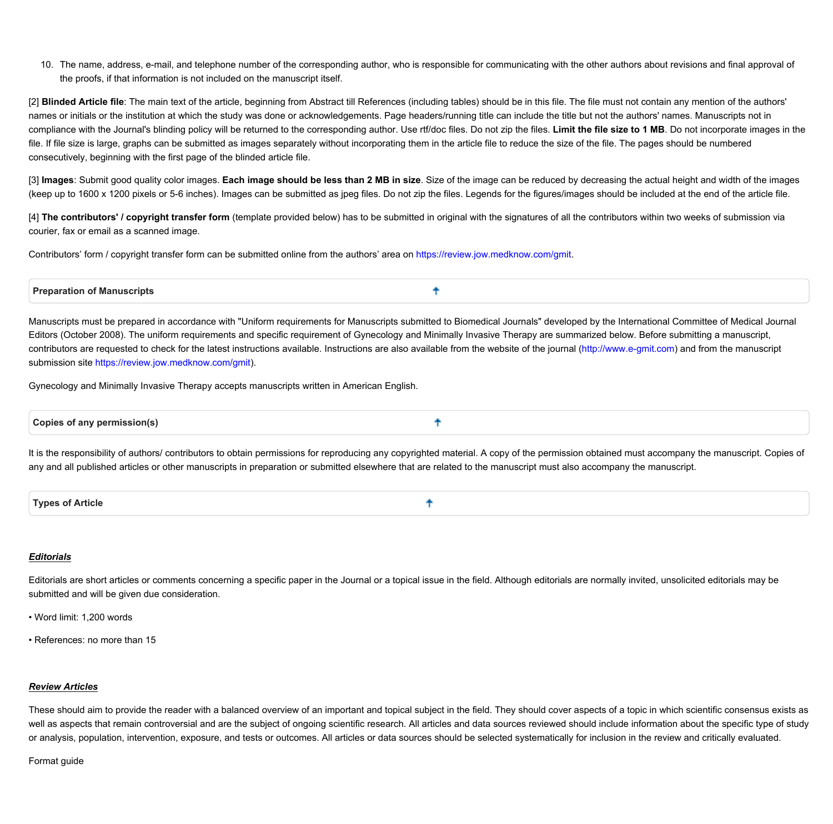10. The name, address, e-mail, and telephone number of the corresponding author, who is responsible for communicating with the other authors about revisions and final approval of **the proofs, if that information is not included on the manuscript itself.**

[2] Blinded Article file: The main text of the article, beginning from Abstract till References (including tables) should be in this file. The file must not contain any mention of the authors' names or initials or the institution at which the study was done or acknowledgements. Page headers/running title can include the title but not the authors' names. Manuscripts not in compliance with the Journal's blinding policy will be returned to the corresponding author. Use rtf/doc files. Do not zip the files. Limit the file size to 1 MB. Do not incorporate images in the file. If file size is large, graphs can be submitted as images separately without incorporating them in the article file to reduce the size of the file. The pages should be numbered **consecutively, beginning with the first page of the blinded article file.**

[3] Images: Submit good quality color images. Each image should be less than 2 MB in size. Size of the image can be reduced by decreasing the actual height and width of the images (keep up to 1600 x 1200 pixels or 5-6 inches). Images can be submitted as jpeg files. Do not zip the files. Legends for the figures/images should be included at the end of the article file.

[4] The contributors' / copyright transfer form (template provided below) has to be submitted in original with the signatures of all the contributors within two weeks of submission via **courier, fax or email as a scanned image.**

Contributors' form / copyright transfer form can be submitted online from the authors' area on [https://review.jow.medknow.com/gmit.](https://review.jow.medknow.com/gmit)

## <span id="page-2-0"></span> **Preparation of Manuscripts**

Manuscripts must be prepared in accordance with "Uniform requirements for Manuscripts submitted to Biomedical Journals" developed by the International Committee of Medical Journal Editors (October 2008). The uniform requirements and specific requirement of Gynecology and Minimally Invasive Therapy are summarized below. Before submitting a manuscript, contributors are requested to check for the latest instructions available. Instructions are also available from the website of the journal ([http://www.e-gmit.com\)](https://www.e-gmit.com) and from the manuscript **submission site [https://review.jow.medknow.com/gmit\)](https://review.jow.medknow.com/gmit).**

╇

ቶ

**Gynecology and Minimally Invasive Therapy accepts manuscripts written in American English.**

<span id="page-2-1"></span>**Copies of any permission(s)**

It is the responsibility of authors/ contributors to obtain permissions for reproducing any copyrighted material. A copy of the permission obtained must accompany the manuscript. Copies of any and all published articles or other manuscripts in preparation or submitted elsewhere that are related to the manuscript must also accompany the manuscript.

<span id="page-2-2"></span>

#### *Editorials*

Editorials are short articles or comments concerning a specific paper in the Journal or a topical issue in the field. Although editorials are normally invited, unsolicited editorials may be **submitted and will be given due consideration.**

- **• Word limit: 1,200 words**
- **• References: no more than 15**

#### *Review Articles*

These should aim to provide the reader with a balanced overview of an important and topical subject in the field. They should cover aspects of a topic in which scientific consensus exists as well as aspects that remain controversial and are the subject of ongoing scientific research. All articles and data sources reviewed should include information about the specific type of study or analysis, population, intervention, exposure, and tests or outcomes. All articles or data sources should be selected systematically for inclusion in the review and critically evaluated.

#### **Format guide**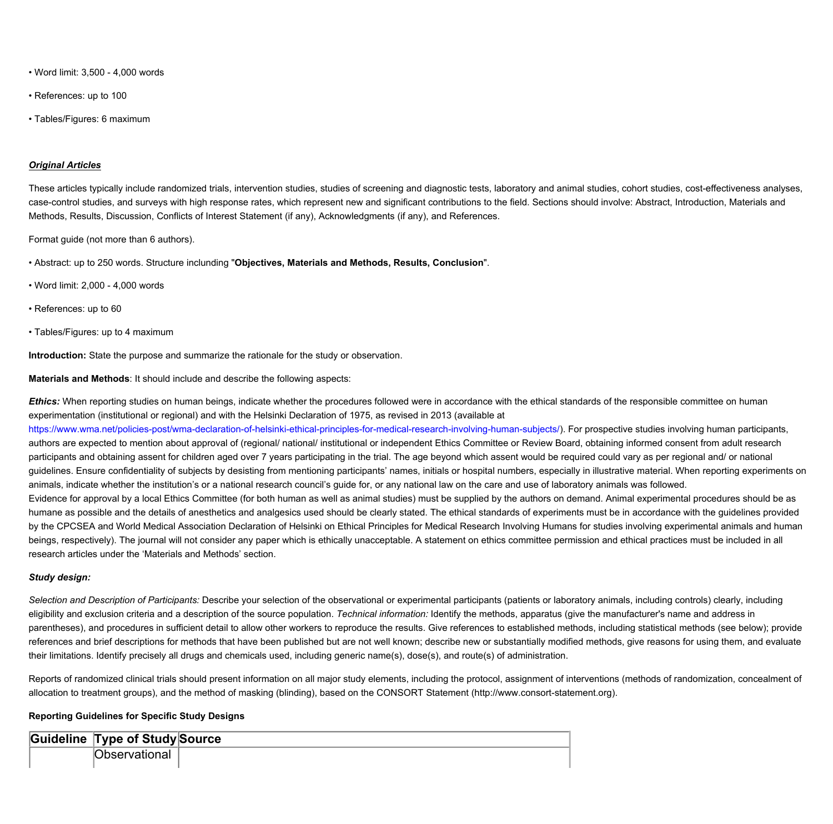- **• Word limit: 3,500 - 4,000 words**
- **• References: up to 100**
- **• Tables/Figures: 6 maximum**

#### *Original Articles*

These articles typically include randomized trials, intervention studies, studies of screening and diagnostic tests, laboratory and animal studies, cohort studies, cost-effectiveness analyses, case-control studies, and surveys with high response rates, which represent new and significant contributions to the field. Sections should involve: Abstract, Introduction, Materials and **Methods, Results, Discussion, Conflicts of Interest Statement (if any), Acknowledgments (if any), and References.**

**Format guide (not more than 6 authors).**

- **Abstract: up to 250 words. Structure inclunding "Objectives, Materials and Methods, Results, Conclusion".**
- **• Word limit: 2,000 - 4,000 words**
- **• References: up to 60**
- **• Tables/Figures: up to 4 maximum**

**Introduction: State the purpose and summarize the rationale for the study or observation.** 

**Materials and Methods: It should include and describe the following aspects:**

Ethics: When reporting studies on human beings, indicate whether the procedures followed were in accordance with the ethical standards of the responsible committee on human experimentation (institutional or regional) and with the Helsinki Declaration of 1975, as revised in 2013 (available at

[https://www.wma.net/policies-post/wma-declaration-of-helsinki-ethical-principles-for-medical-research-involving-human-subjects/\)](https://www.wma.net/policies-post/wma-declaration-of-helsinki-ethical-principles-for-medical-research-involving-human-subjects/). For prospective studies involving human participants, authors are expected to mention about approval of (regional/ national/ institutional or independent Ethics Committee or Review Board, obtaining informed consent from adult research participants and obtaining assent for children aged over 7 years participating in the trial. The age beyond which assent would be required could vary as per regional and/ or national guidelines. Ensure confidentiality of subjects by desisting from mentioning participants' names, initials or hospital numbers, especially in illustrative material. When reporting experiments on animals, indicate whether the institution's or a national research council's guide for, or any national law on the care and use of laboratory animals was followed. Evidence for approval by a local Ethics Committee (for both human as well as animal studies) must be supplied by the authors on demand. Animal experimental procedures should be as humane as possible and the details of anesthetics and analgesics used should be clearly stated. The ethical standards of experiments must be in accordance with the guidelines provided by the CPCSEA and World Medical Association Declaration of Helsinki on Ethical Principles for Medical Research Involving Humans for studies involving experimental animals and human beings, respectively). The journal will not consider any paper which is ethically unacceptable. A statement on ethics committee permission and ethical practices must be included in all **research articles under the 'Materials and Methods' section.**

#### *Study design:*

Selection and Description of Participants: Describe your selection of the observational or experimental participants (patients or laboratory animals, including controls) clearly, including eligibility and exclusion criteria and a description of the source population. Technical information: Identify the methods, apparatus (give the manufacturer's name and address in parentheses), and procedures in sufficient detail to allow other workers to reproduce the results. Give references to established methods, including statistical methods (see below); provide references and brief descriptions for methods that have been published but are not well known; describe new or substantially modified methods, give reasons for using them, and evaluate their limitations. Identify precisely all drugs and chemicals used, including generic name(s), dose(s), and route(s) of administration.

Reports of randomized clinical trials should present information on all major study elements, including the protocol, assignment of interventions (methods of randomization, concealment of allocation to treatment groups), and the method of masking (blinding), based on the CONSORT Statement (http://www.consort-statement.org).

#### **Reporting Guidelines for Specific Study Designs**

| Guideline Type of Study Source |  |
|--------------------------------|--|
| Observational                  |  |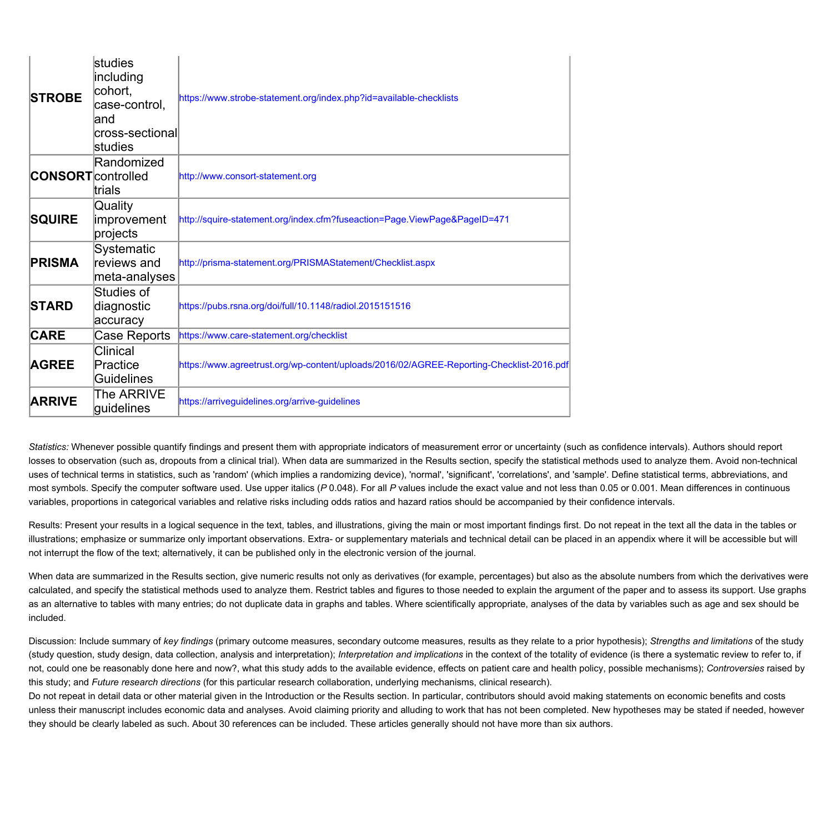| <b>STROBE</b>             | studies<br>including<br>cohort,<br>case-control,<br>land<br>cross-sectional<br>lstudies | https://www.strobe-statement.org/index.php?id=available-checklists                       |  |
|---------------------------|-----------------------------------------------------------------------------------------|------------------------------------------------------------------------------------------|--|
| <b>CONSORT</b> controlled | Randomized                                                                              | http://www.consort-statement.org                                                         |  |
|                           | trials                                                                                  |                                                                                          |  |
|                           | Quality                                                                                 |                                                                                          |  |
| <b>SQUIRE</b>             | improvement<br>projects                                                                 | http://squire-statement.org/index.cfm?fuseaction=Page.ViewPage&PageID=471                |  |
|                           | Systematic                                                                              |                                                                                          |  |
| <b>PRISMA</b>             | reviews and                                                                             | http://prisma-statement.org/PRISMAStatement/Checklist.aspx                               |  |
|                           | meta-analyses                                                                           |                                                                                          |  |
|                           | Studies of                                                                              |                                                                                          |  |
| <b>STARD</b>              | diagnostic                                                                              | https://pubs.rsna.org/doi/full/10.1148/radiol.2015151516                                 |  |
| <b>CARE</b>               | accuracy<br>Case Reports                                                                | https://www.care-statement.org/checklist                                                 |  |
|                           |                                                                                         |                                                                                          |  |
| <b>AGREE</b>              | Clinical<br>Practice                                                                    | https://www.agreetrust.org/wp-content/uploads/2016/02/AGREE-Reporting-Checklist-2016.pdf |  |
|                           | <b>Guidelines</b>                                                                       |                                                                                          |  |
| <b>ARRIVE</b>             | The ARRIVE<br>guidelines                                                                | https://arriveguidelines.org/arrive-guidelines                                           |  |

Statistics: Whenever possible quantify findings and present them with appropriate indicators of measurement error or uncertainty (such as confidence intervals). Authors should report losses to observation (such as, dropouts from a clinical trial). When data are summarized in the Results section, specify the statistical methods used to analyze them. Avoid non-technical uses of technical terms in statistics, such as 'random' (which implies a randomizing device), 'normal', 'significant', 'correlations', and 'sample'. Define statistical terms, abbreviations, and most symbols. Specify the computer software used. Use upper italics (P 0.048). For all P values include the exact value and not less than 0.05 or 0.001. Mean differences in continuous variables, proportions in categorical variables and relative risks including odds ratios and hazard ratios should be accompanied by their confidence intervals.

Results: Present your results in a logical sequence in the text, tables, and illustrations, giving the main or most important findings first. Do not repeat in the text all the data in the tables or illustrations; emphasize or summarize only important observations. Extra- or supplementary materials and technical detail can be placed in an appendix where it will be accessible but will not interrupt the flow of the text; alternatively, it can be published only in the electronic version of the journal.

When data are summarized in the Results section, give numeric results not only as derivatives (for example, percentages) but also as the absolute numbers from which the derivatives were calculated, and specify the statistical methods used to analyze them. Restrict tables and figures to those needed to explain the argument of the paper and to assess its support. Use graphs as an alternative to tables with many entries; do not duplicate data in graphs and tables. Where scientifically appropriate, analyses of the data by variables such as age and sex should be **included.**

Discussion: Include summary of key findings (primary outcome measures, secondary outcome measures, results as they relate to a prior hypothesis); Strengths and limitations of the study (study question, study design, data collection, analysis and interpretation); Interpretation and implications in the context of the totality of evidence (is there a systematic review to refer to, if not, could one be reasonably done here and now?, what this study adds to the available evidence, effects on patient care and health policy, possible mechanisms); Controversies raised by this study; and Future research directions (for this particular research collaboration, underlying mechanisms, clinical research).

Do not repeat in detail data or other material given in the Introduction or the Results section. In particular, contributors should avoid making statements on economic benefits and costs unless their manuscript includes economic data and analyses. Avoid claiming priority and alluding to work that has not been completed. New hypotheses may be stated if needed, however they should be clearly labeled as such. About 30 references can be included. These articles generally should not have more than six authors.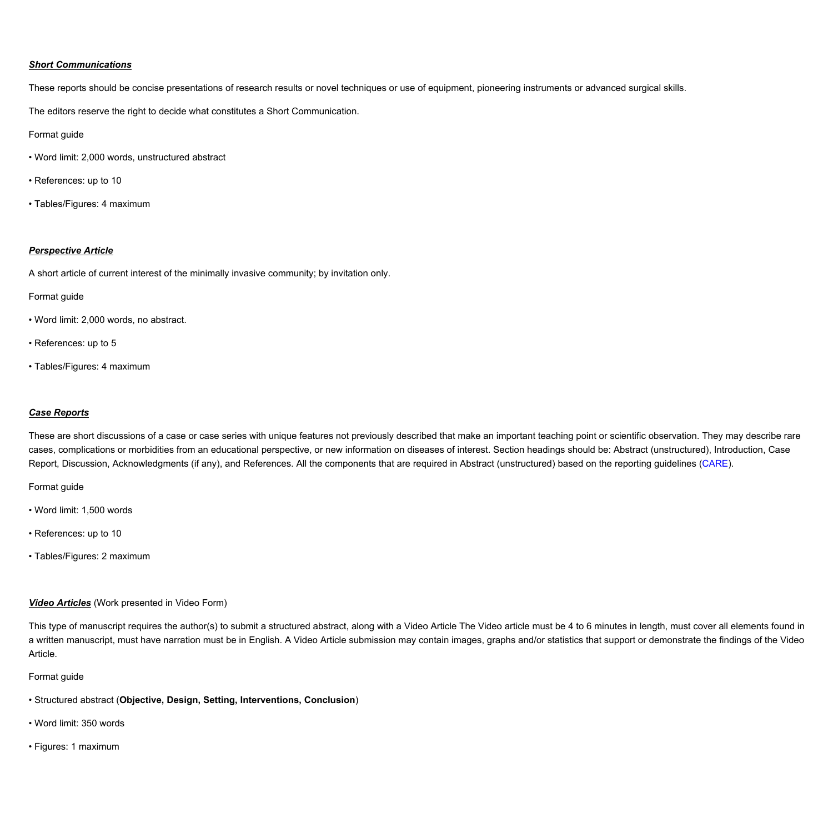#### *Short Communications*

These reports should be concise presentations of research results or novel techniques or use of equipment, pioneering instruments or advanced surgical skills.

**The editors reserve the right to decide what constitutes a Short Communication.**

#### **Format guide**

- **• Word limit: 2,000 words, unstructured abstract**
- **• References: up to 10**
- **• Tables/Figures: 4 maximum**

# *Perspective Article*

**A short article of current interest of the minimally invasive community; by invitation only.**

# **Format guide**

- **• Word limit: 2,000 words, no abstract.**
- **• References: up to 5**
- **• Tables/Figures: 4 maximum**

## *Case Reports*

These are short discussions of a case or case series with unique features not previously described that make an important teaching point or scientific observation. They may describe rare cases, complications or morbidities from an educational perspective, or new information on diseases of interest. Section headings should be: Abstract (unstructured), Introduction, Case Report, Discussion, Acknowledgments (if any), and References. All the components that are required in Abstract (unstructured) based on the reporting guidelines [\(CARE](https://www.care-statement.org/checklist)).

# **Format guide**

- **• Word limit: 1,500 words**
- **• References: up to 10**
- **• Tables/Figures: 2 maximum**

## *Video Articles* **(Work presented in Video Form)**

This type of manuscript requires the author(s) to submit a structured abstract, along with a Video Article The Video article must be 4 to 6 minutes in length, must cover all elements found in a written manuscript, must have narration must be in English. A Video Article submission may contain images, graphs and/or statistics that support or demonstrate the findings of the Video **Article.** 

## **Format guide**

- **• Structured abstract (Objective, Design, Setting, Interventions, Conclusion)**
- **• Word limit: 350 words**
- **• Figures: 1 maximum**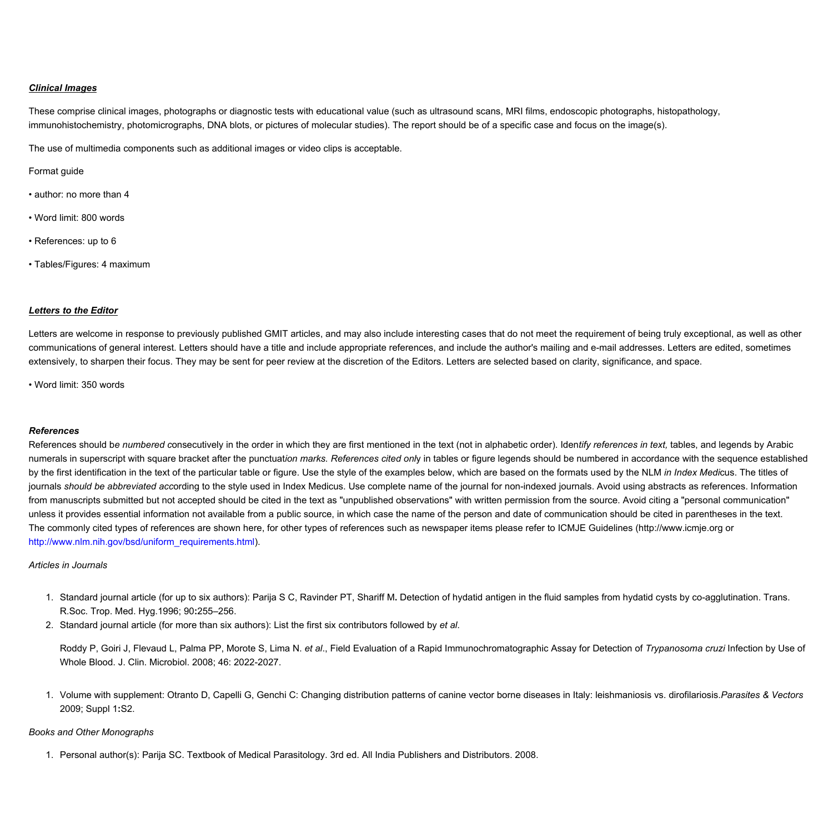#### *Clinical Images*

These comprise clinical images, photographs or diagnostic tests with educational value (such as ultrasound scans, MRI films, endoscopic photographs, histopathology, immunohistochemistry, photomicrographs, DNA blots, or pictures of molecular studies). The report should be of a specific case and focus on the image(s).

**The use of multimedia components such as additional images or video clips is acceptable.**

**Format guide**

- **• author: no more than 4**
- **• Word limit: 800 words**
- **• References: up to 6**
- **• Tables/Figures: 4 maximum**

## *Letters to the Editor*

Letters are welcome in response to previously published GMIT articles, and may also include interesting cases that do not meet the requirement of being truly exceptional, as well as other communications of general interest. Letters should have a title and include appropriate references, and include the author's mailing and e-mail addresses. Letters are edited, sometimes extensively, to sharpen their focus. They may be sent for peer review at the discretion of the Editors. Letters are selected based on clarity, significance, and space.

**• Word limit: 350 words**

#### *References*

References should be numbered consecutively in the order in which they are first mentioned in the text (not in alphabetic order). Identify references in text, tables, and legends by Arabic numerals in superscript with square bracket after the punctuation marks. References cited only in tables or figure legends should be numbered in accordance with the sequence established by the first identification in the text of the particular table or figure. Use the style of the examples below, which are based on the formats used by the NLM in Index Medicus. The titles of journals should be abbreviated according to the style used in Index Medicus. Use complete name of the journal for non-indexed journals. Avoid using abstracts as references. Information from manuscripts submitted but not accepted should be cited in the text as "unpublished observations" with written permission from the source. Avoid citing a "personal communication" unless it provides essential information not available from a public source, in which case the name of the person and date of communication should be cited in parentheses in the text. The commonly cited types of references are shown here, for other types of references such as newspaper items please refer to ICMJE Guidelines (http://www.icmje.org or **[http://www.nlm.nih.gov/bsd/uniform\\_requirements.html\)](https://www.nlm.nih.gov/bsd/uniform_requirements.html).**

#### *Articles in Journals*

- 1. Standard journal article (for up to six authors): Parija S C, Ravinder PT, Shariff M. Detection of hydatid antigen in the fluid samples from hydatid cysts by co-agglutination. Trans. **R.Soc. Trop. Med. Hyg.1996; 90:255–256.**
- 2. Standard journal article (for more than six authors): List the first six contributors followed by et al.

Roddy P, Goiri J, Flevaud L, Palma PP, Morote S, Lima N, et al., Field Evaluation of a Rapid Immunochromatographic Assay for Detection of Trypanosoma cruzi Infection by Use of **Whole Blood. J. Clin. Microbiol. 2008; 46: 2022-2027.**

1. Volume with supplement: Otranto D, Capelli G, Genchi C: Changing distribution patterns of canine vector borne diseases in Italy: leishmaniosis vs. dirofilariosis. Parasites & Vectors **2009; Suppl 1:S2.** 

## *Books and Other Monographs*

1. Personal author(s): Parija SC. Textbook of Medical Parasitology. 3rd ed. All India Publishers and Distributors. 2008.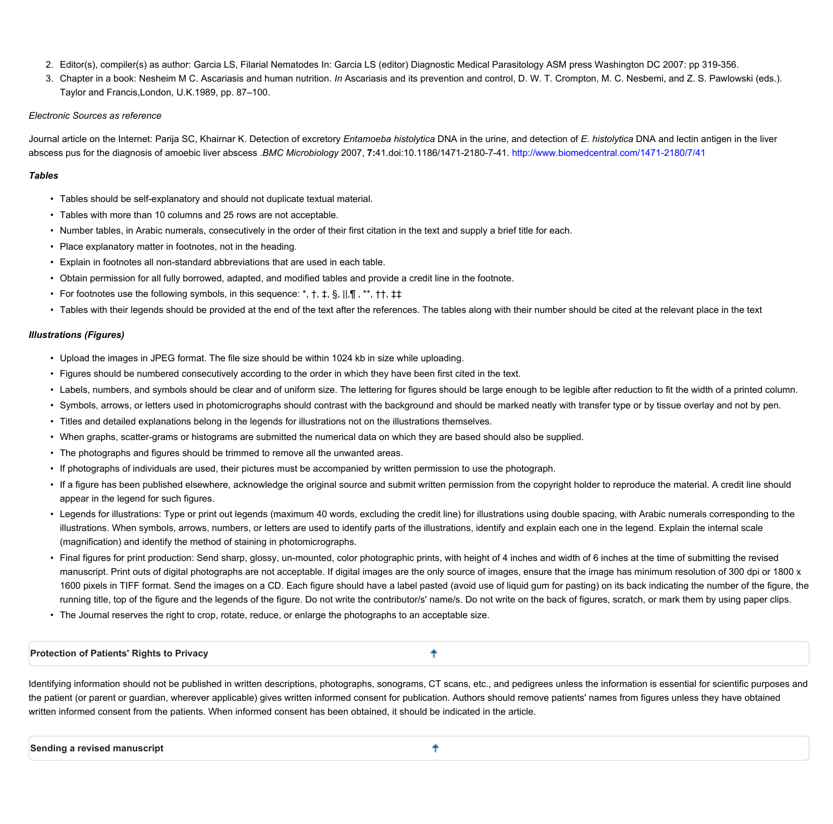- 2. Editor(s), compiler(s) as author: Garcia LS, Filarial Nematodes In: Garcia LS (editor) Diagnostic Medical Parasitology ASM press Washington DC 2007: pp 319-356.
- 3. Chapter in a book: Nesheim M C. Ascariasis and human nutrition. In Ascariasis and its prevention and control, D. W. T. Crompton, M. C. Nesbemi, and Z. S. Pawlowski (eds.). **Taylor and Francis,London, U.K.1989, pp. 87–100.**

## *Electronic Sources as reference*

Journal article on the Internet: Parija SC, Khairnar K. Detection of excretory Entamoeba histolytica DNA in the urine, and detection of E. histolytica DNA and lectin antigen in the liver abscess pus for the diagnosis of amoebic liver abscess .BMC Microbiology 2007, 7:41.doi:10.1186/1471-2180-7-41.[http://www.biomedcentral.com/1471-2180/7/41](https://www.biomedcentral.com/1471-2180/7/41)

## *Tables*

- **• Tables should be self-explanatory and should not duplicate textual material.**
- **• Tables with more than 10 columns and 25 rows are not acceptable.**
- Number tables, in Arabic numerals, consecutively in the order of their first citation in the text and supply a brief title for each.
- **• Place explanatory matter in footnotes, not in the heading.**
- **• Explain in footnotes all non-standard abbreviations that are used in each table.**
- Obtain permission for all fully borrowed, adapted, and modified tables and provide a credit line in the footnote.
- **• For footnotes use the following symbols, in this sequence: \*, †, ‡, §, ||,¶ , \*\*, ††, ‡‡**
- Tables with their legends should be provided at the end of the text after the references. The tables along with their number should be cited at the relevant place in the text

## *Illustrations (Figures)*

- Upload the images in JPEG format. The file size should be within 1024 kb in size while uploading.
- Figures should be numbered consecutively according to the order in which they have been first cited in the text.
- Labels, numbers, and symbols should be clear and of uniform size. The lettering for figures should be large enough to be legible after reduction to fit the width of a printed column.
- · Symbols, arrows, or letters used in photomicrographs should contrast with the background and should be marked neatly with transfer type or by tissue overlay and not by pen.
- **• Titles and detailed explanations belong in the legends for illustrations not on the illustrations themselves.**
- When graphs, scatter-grams or histograms are submitted the numerical data on which they are based should also be supplied.
- **• The photographs and figures should be trimmed to remove all the unwanted areas.**
- If photographs of individuals are used, their pictures must be accompanied by written permission to use the photograph.
- If a figure has been published elsewhere, acknowledge the original source and submit written permission from the copyright holder to reproduce the material. A credit line should **appear in the legend for such figures.**
- Legends for illustrations: Type or print out legends (maximum 40 words, excluding the credit line) for illustrations using double spacing, with Arabic numerals corresponding to the illustrations. When symbols, arrows, numbers, or letters are used to identify parts of the illustrations, identify and explain each one in the legend. Explain the internal scale **(magnification) and identify the method of staining in photomicrographs.**
- Final figures for print production: Send sharp, glossy, un-mounted, color photographic prints, with height of 4 inches and width of 6 inches at the time of submitting the revised manuscript. Print outs of digital photographs are not acceptable. If digital images are the only source of images, ensure that the image has minimum resolution of 300 dpi or 1800 x 1600 pixels in TIFF format. Send the images on a CD. Each figure should have a label pasted (avoid use of liquid gum for pasting) on its back indicating the number of the figure, the running title, top of the figure and the legends of the figure. Do not write the contributor/s' name/s. Do not write on the back of figures, scratch, or mark them by using paper clips.
- The Journal reserves the right to crop, rotate, reduce, or enlarge the photographs to an acceptable size.

<span id="page-7-0"></span>

| <b>Protection of Patients'</b><br>** Rights to Privacy |  |  |
|--------------------------------------------------------|--|--|
|                                                        |  |  |

<span id="page-7-1"></span>Identifying information should not be published in written descriptions, photographs, sonograms, CT scans, etc., and pedigrees unless the information is essential for scientific purposes and the patient (or parent or guardian, wherever applicable) gives written informed consent for publication. Authors should remove patients' names from figures unless they have obtained written informed consent from the patients. When informed consent has been obtained, it should be indicated in the article.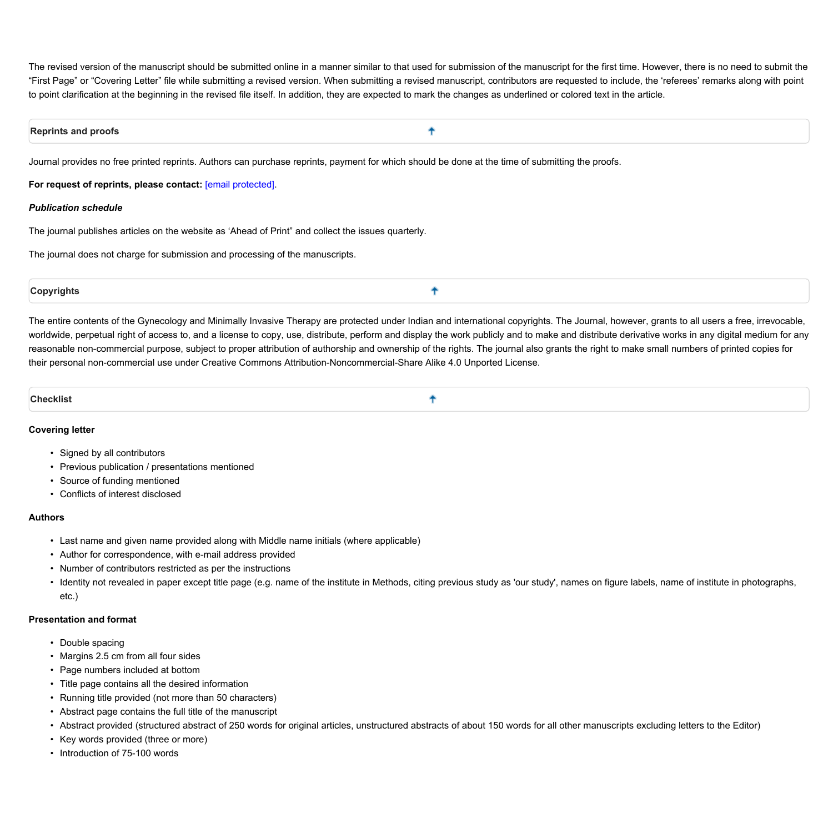The revised version of the manuscript should be submitted online in a manner similar to that used for submission of the manuscript for the first time. However, there is no need to submit the "First Page" or "Covering Letter" file while submitting a revised version. When submitting a revised manuscript, contributors are requested to include, the 'referees' remarks along with point to point clarification at the beginning in the revised file itself. In addition, they are expected to mark the changes as underlined or colored text in the article.

<span id="page-8-0"></span>

| Reprints and proofs |  |
|---------------------|--|

Journal provides no free printed reprints. Authors can purchase reprints, payment for which should be done at the time of submitting the proofs.

# **For request of reprints, please contact: [\[email protected\].](http://www.e-gmit.com/cdn-cgi/l/email-protection#1f485457534d4f527a7b74717068406d7a6f6d76716b6c5f6870736b7a6d6c74736a687a6d317c7072)**

# *Publication schedule*

**The journal publishes articles on the website as 'Ahead of Print" and collect the issues quarterly.**

**The journal does not charge for submission and processing of the manuscripts.**

<span id="page-8-1"></span>**Copyrights**

The entire contents of the Gynecology and Minimally Invasive Therapy are protected under Indian and international copyrights. The Journal, however, grants to all users a free, irrevocable, worldwide, perpetual right of access to, and a license to copy, use, distribute, perform and display the work publicly and to make and distribute derivative works in any digital medium for any reasonable non-commercial purpose, subject to proper attribution of authorship and ownership of the rights. The journal also grants the right to make small numbers of printed copies for **their personal non-commercial use under Creative Commons Attribution-Noncommercial-Share Alike 4.0 Unported License.**

Ť

╇

<span id="page-8-2"></span>**Checklist**

## **Covering letter**

- **• Signed by all contributors**
- **• Previous publication / presentations mentioned**
- **• Source of funding mentioned**
- **• Conflicts of interest disclosed**

## **Authors**

- **• Last name and given name provided along with Middle name initials (where applicable)**
- **• Author for correspondence, with e-mail address provided**
- **• Number of contributors restricted as per the instructions**
- Identity not revealed in paper except title page (e.g. name of the institute in Methods, citing previous study as 'our study', names on figure labels, name of institute in photographs, **etc.)**

## **Presentation and format**

- **• Double spacing**
- **• Margins 2.5 cm from all four sides**
- **• Page numbers included at bottom**
- **• Title page contains all the desired information**
- **• Running title provided (not more than 50 characters)**
- **• Abstract page contains the full title of the manuscript**
- Abstract provided (structured abstract of 250 words for original articles, unstructured abstracts of about 150 words for all other manuscripts excluding letters to the Editor)
- **• Key words provided (three or more)**
- **• Introduction of 75-100 words**